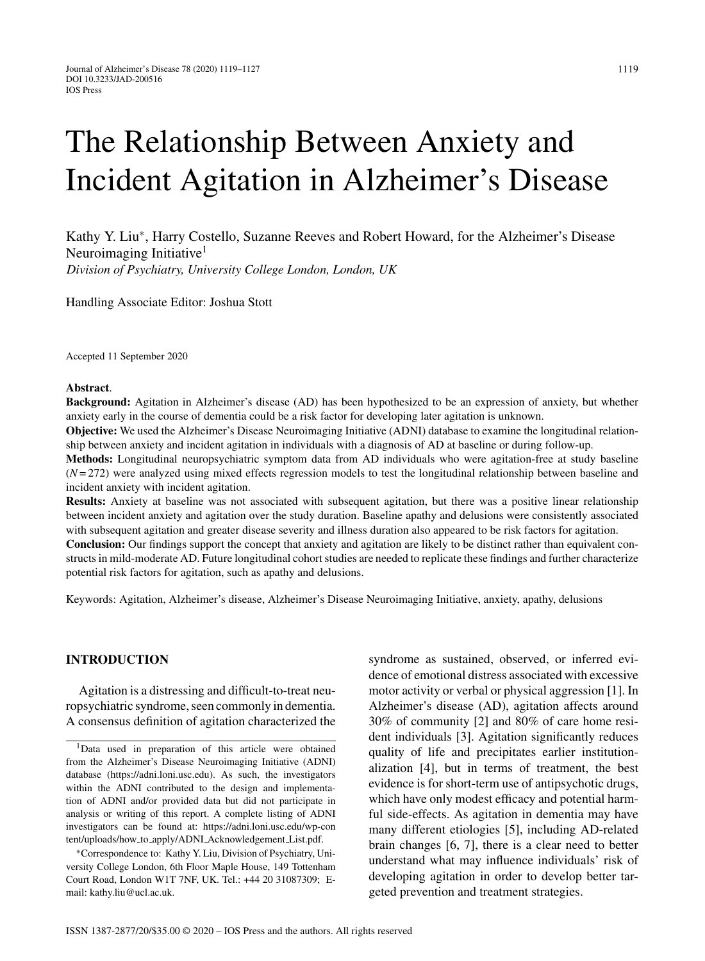# The Relationship Between Anxiety and Incident Agitation in Alzheimer's Disease

Kathy Y. Liu∗, Harry Costello, Suzanne Reeves and Robert Howard, for the Alzheimer's Disease Neuroimaging Initiative<sup>1</sup> *Division of Psychiatry, University College London, London, UK*

Handling Associate Editor: Joshua Stott

Accepted 11 September 2020

#### **Abstract**.

**Background:** Agitation in Alzheimer's disease (AD) has been hypothesized to be an expression of anxiety, but whether anxiety early in the course of dementia could be a risk factor for developing later agitation is unknown.

**Objective:** We used the Alzheimer's Disease Neuroimaging Initiative (ADNI) database to examine the longitudinal relationship between anxiety and incident agitation in individuals with a diagnosis of AD at baseline or during follow-up.

**Methods:** Longitudinal neuropsychiatric symptom data from AD individuals who were agitation-free at study baseline (*N*= 272) were analyzed using mixed effects regression models to test the longitudinal relationship between baseline and incident anxiety with incident agitation.

**Results:** Anxiety at baseline was not associated with subsequent agitation, but there was a positive linear relationship between incident anxiety and agitation over the study duration. Baseline apathy and delusions were consistently associated with subsequent agitation and greater disease severity and illness duration also appeared to be risk factors for agitation. **Conclusion:** Our findings support the concept that anxiety and agitation are likely to be distinct rather than equivalent constructs in mild-moderate AD. Future longitudinal cohort studies are needed to replicate these findings and further characterize potential risk factors for agitation, such as apathy and delusions.

Keywords: Agitation, Alzheimer's disease, Alzheimer's Disease Neuroimaging Initiative, anxiety, apathy, delusions

# **INTRODUCTION**

Agitation is a distressing and difficult-to-treat neuropsychiatric syndrome, seen commonly in dementia. A consensus definition of agitation characterized the

∗Correspondence to: Kathy Y. Liu, Division of Psychiatry, University College London, 6th Floor Maple House, 149 Tottenham Court Road, London W1T 7NF, UK. Tel.: +44 20 31087309; Email: [kathy.liu@ucl.ac.uk](mailto:kathy.liu@ucl.ac.uk).

syndrome as sustained, observed, or inferred evidence of emotional distress associated with excessive motor activity or verbal or physical aggression [1]. In Alzheimer's disease (AD), agitation affects around 30% of community [2] and 80% of care home resident individuals [3]. Agitation significantly reduces quality of life and precipitates earlier institutionalization [4], but in terms of treatment, the best evidence is for short-term use of antipsychotic drugs, which have only modest efficacy and potential harmful side-effects. As agitation in dementia may have many different etiologies [5], including AD-related brain changes [6, 7], there is a clear need to better understand what may influence individuals' risk of developing agitation in order to develop better targeted prevention and treatment strategies.

<sup>1</sup>Data used in preparation of this article were obtained from the Alzheimer's Disease Neuroimaging Initiative (ADNI) database [\(https://adni.loni.usc.edu\)](https://adni.loni.usc.edu). As such, the investigators within the ADNI contributed to the design and implementation of ADNI and/or provided data but did not participate in analysis or writing of this report. A complete listing of ADNI investigators can be found at: [https://adni.loni.usc.edu/wp-con](https://adni.loni.usc.edu/wp-content/uploads/how_to_apply/ADNI_Acknowledgement_List.pdf) tent/uploads/how to apply/ADNI [Acknowledgement](https://adni.loni.usc.edu/wp-content/uploads/how_to_apply/ADNI_Acknowledgement_List.pdf) List.pdf.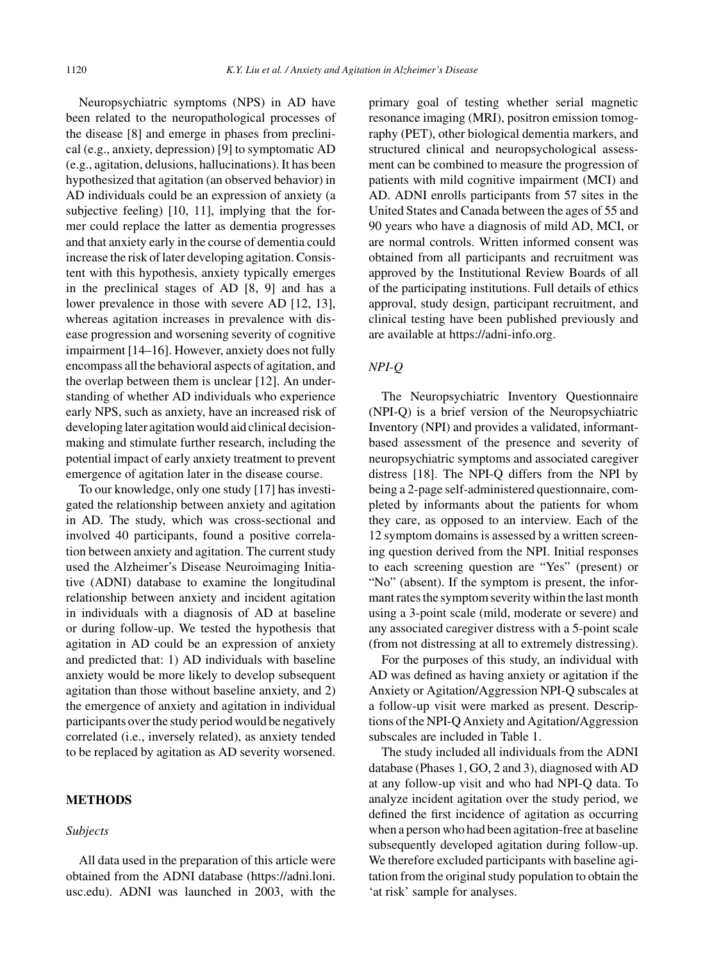Neuropsychiatric symptoms (NPS) in AD have been related to the neuropathological processes of the disease [8] and emerge in phases from preclinical (e.g., anxiety, depression) [9] to symptomatic AD (e.g., agitation, delusions, hallucinations). It has been hypothesized that agitation (an observed behavior) in AD individuals could be an expression of anxiety (a subjective feeling) [10, 11], implying that the former could replace the latter as dementia progresses and that anxiety early in the course of dementia could increase the risk of later developing agitation. Consistent with this hypothesis, anxiety typically emerges in the preclinical stages of AD [8, 9] and has a lower prevalence in those with severe AD [12, 13], whereas agitation increases in prevalence with disease progression and worsening severity of cognitive impairment [14–16]. However, anxiety does not fully encompass all the behavioral aspects of agitation, and the overlap between them is unclear [12]. An understanding of whether AD individuals who experience early NPS, such as anxiety, have an increased risk of developing later agitation would aid clinical decisionmaking and stimulate further research, including the potential impact of early anxiety treatment to prevent emergence of agitation later in the disease course.

To our knowledge, only one study [17] has investigated the relationship between anxiety and agitation in AD. The study, which was cross-sectional and involved 40 participants, found a positive correlation between anxiety and agitation. The current study used the Alzheimer's Disease Neuroimaging Initiative (ADNI) database to examine the longitudinal relationship between anxiety and incident agitation in individuals with a diagnosis of AD at baseline or during follow-up. We tested the hypothesis that agitation in AD could be an expression of anxiety and predicted that: 1) AD individuals with baseline anxiety would be more likely to develop subsequent agitation than those without baseline anxiety, and 2) the emergence of anxiety and agitation in individual participants over the study period would be negatively correlated (i.e., inversely related), as anxiety tended to be replaced by agitation as AD severity worsened.

#### **METHODS**

## *Subjects*

All data used in the preparation of this article were obtained from the ADNI database ([https://adni.loni.](https://adni.loni.usc.edu) usc.edu). ADNI was launched in 2003, with the

primary goal of testing whether serial magnetic resonance imaging (MRI), positron emission tomography (PET), other biological dementia markers, and structured clinical and neuropsychological assessment can be combined to measure the progression of patients with mild cognitive impairment (MCI) and AD. ADNI enrolls participants from 57 sites in the United States and Canada between the ages of 55 and 90 years who have a diagnosis of mild AD, MCI, or are normal controls. Written informed consent was obtained from all participants and recruitment was approved by the Institutional Review Boards of all of the participating institutions. Full details of ethics approval, study design, participant recruitment, and clinical testing have been published previously and are available at [https://adni-info.org.](https://adni-info.org)

### *NPI-Q*

The Neuropsychiatric Inventory Questionnaire (NPI-Q) is a brief version of the Neuropsychiatric Inventory (NPI) and provides a validated, informantbased assessment of the presence and severity of neuropsychiatric symptoms and associated caregiver distress [18]. The NPI-Q differs from the NPI by being a 2-page self-administered questionnaire, completed by informants about the patients for whom they care, as opposed to an interview. Each of the 12 symptom domains is assessed by a written screening question derived from the NPI. Initial responses to each screening question are "Yes" (present) or "No" (absent). If the symptom is present, the informant rates the symptom severity within the last month using a 3-point scale (mild, moderate or severe) and any associated caregiver distress with a 5-point scale (from not distressing at all to extremely distressing).

For the purposes of this study, an individual with AD was defined as having anxiety or agitation if the Anxiety or Agitation/Aggression NPI-Q subscales at a follow-up visit were marked as present. Descriptions of the NPI-Q Anxiety and Agitation/Aggression subscales are included in Table 1.

The study included all individuals from the ADNI database (Phases 1, GO, 2 and 3), diagnosed with AD at any follow-up visit and who had NPI-Q data. To analyze incident agitation over the study period, we defined the first incidence of agitation as occurring when a person who had been agitation-free at baseline subsequently developed agitation during follow-up. We therefore excluded participants with baseline agitation from the original study population to obtain the 'at risk' sample for analyses.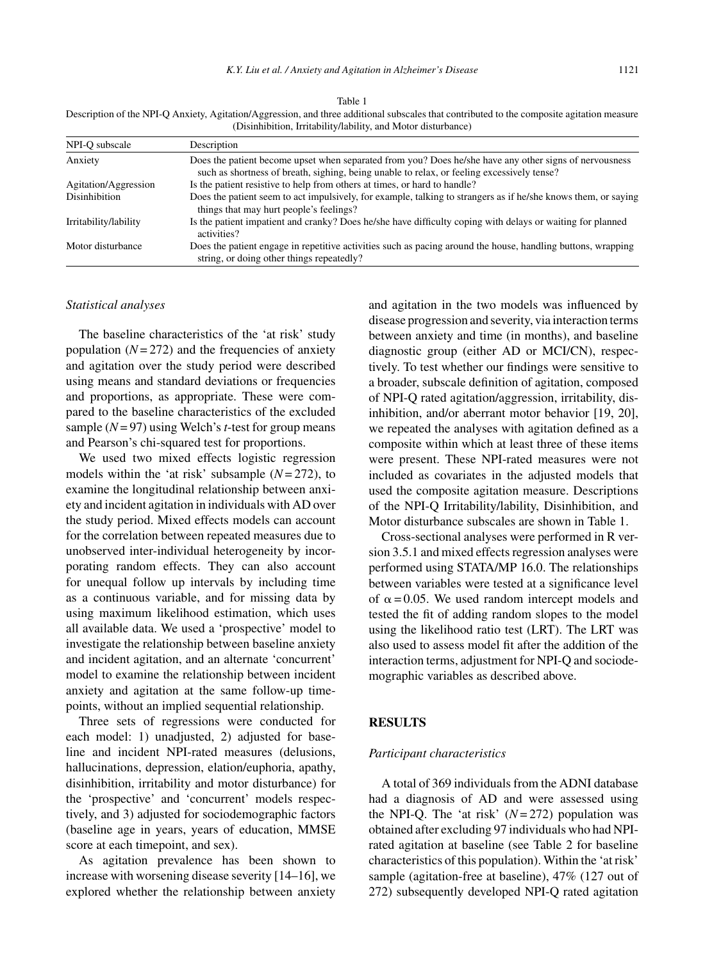|                       | (Disinhibition, Irritability/lability, and Motor disturbance)                                                                                                                                        |
|-----------------------|------------------------------------------------------------------------------------------------------------------------------------------------------------------------------------------------------|
| NPI-Q subscale        | Description                                                                                                                                                                                          |
| Anxiety               | Does the patient become upset when separated from you? Does he/she have any other signs of nervousness<br>such as shortness of breath, sighing, being unable to relax, or feeling excessively tense? |
| Agitation/Aggression  | Is the patient resistive to help from others at times, or hard to handle?                                                                                                                            |
| Disinhibition         | Does the patient seem to act impulsively, for example, talking to strangers as if he/she knows them, or saying<br>things that may hurt people's feelings?                                            |
| Irritability/lability | Is the patient impatient and cranky? Does he/she have difficulty coping with delays or waiting for planned<br>activities?                                                                            |
| Motor disturbance     | Does the patient engage in repetitive activities such as pacing around the house, handling buttons, wrapping<br>string, or doing other things repeatedly?                                            |

# Table 1

Description of the NPI-Q Anxiety, Agitation/Aggression, and three additional subscales that contributed to the composite agitation measure

#### *Statistical analyses*

The baseline characteristics of the 'at risk' study population  $(N = 272)$  and the frequencies of anxiety and agitation over the study period were described using means and standard deviations or frequencies and proportions, as appropriate. These were compared to the baseline characteristics of the excluded sample (*N*= 97) using Welch's *t*-test for group means and Pearson's chi-squared test for proportions.

We used two mixed effects logistic regression models within the 'at risk' subsample (*N*= 272), to examine the longitudinal relationship between anxiety and incident agitation in individuals with AD over the study period. Mixed effects models can account for the correlation between repeated measures due to unobserved inter-individual heterogeneity by incorporating random effects. They can also account for unequal follow up intervals by including time as a continuous variable, and for missing data by using maximum likelihood estimation, which uses all available data. We used a 'prospective' model to investigate the relationship between baseline anxiety and incident agitation, and an alternate 'concurrent' model to examine the relationship between incident anxiety and agitation at the same follow-up timepoints, without an implied sequential relationship.

Three sets of regressions were conducted for each model: 1) unadjusted, 2) adjusted for baseline and incident NPI-rated measures (delusions, hallucinations, depression, elation/euphoria, apathy, disinhibition, irritability and motor disturbance) for the 'prospective' and 'concurrent' models respectively, and 3) adjusted for sociodemographic factors (baseline age in years, years of education, MMSE score at each timepoint, and sex).

As agitation prevalence has been shown to increase with worsening disease severity [14–16], we explored whether the relationship between anxiety and agitation in the two models was influenced by disease progression and severity, via interaction terms between anxiety and time (in months), and baseline diagnostic group (either AD or MCI/CN), respectively. To test whether our findings were sensitive to a broader, subscale definition of agitation, composed of NPI-Q rated agitation/aggression, irritability, disinhibition, and/or aberrant motor behavior [19, 20], we repeated the analyses with agitation defined as a composite within which at least three of these items were present. These NPI-rated measures were not included as covariates in the adjusted models that used the composite agitation measure. Descriptions of the NPI-Q Irritability/lability, Disinhibition, and Motor disturbance subscales are shown in Table 1.

Cross-sectional analyses were performed in R version 3.5.1 and mixed effects regression analyses were performed using STATA/MP 16.0. The relationships between variables were tested at a significance level of  $\alpha$  = 0.05. We used random intercept models and tested the fit of adding random slopes to the model using the likelihood ratio test (LRT). The LRT was also used to assess model fit after the addition of the interaction terms, adjustment for NPI-Q and sociodemographic variables as described above.

## **RESULTS**

#### *Participant characteristics*

A total of 369 individuals from the ADNI database had a diagnosis of AD and were assessed using the NPI-Q. The 'at risk'  $(N=272)$  population was obtained after excluding 97 individuals who had NPIrated agitation at baseline (see Table 2 for baseline characteristics of this population). Within the 'at risk' sample (agitation-free at baseline), 47% (127 out of 272) subsequently developed NPI-Q rated agitation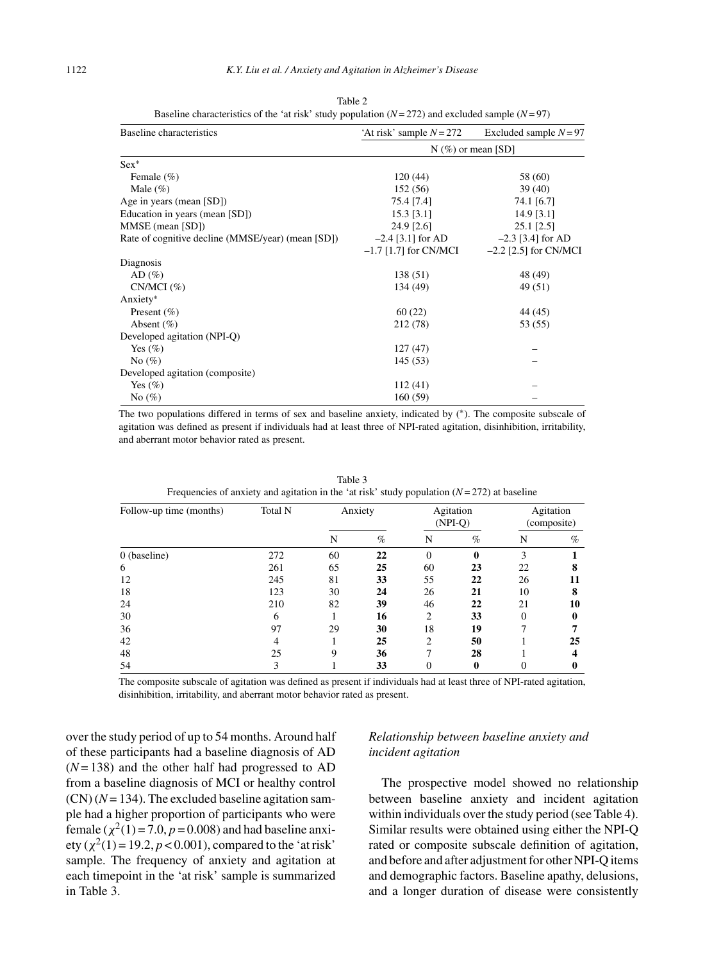| <b>Baseline</b> characteristics                   | 'At risk' sample $N = 272$ | Excluded sample $N = 97$ |
|---------------------------------------------------|----------------------------|--------------------------|
|                                                   |                            | $N$ (%) or mean [SD]     |
| $Sex^*$                                           |                            |                          |
| Female $(\% )$                                    | 120(44)                    | 58 (60)                  |
| Male $(\% )$                                      | 152(56)                    | 39(40)                   |
| Age in years (mean [SD])                          | 75.4 [7.4]                 | 74.1 [6.7]               |
| Education in years (mean [SD])                    | 15.3 [3.1]                 | 14.9 [3.1]               |
| MMSE (mean [SD])                                  | 24.9 [2.6]                 | $25.1$ [ $2.5$ ]         |
| Rate of cognitive decline (MMSE/year) (mean [SD]) | $-2.4$ [3.1] for AD        | $-2.3$ [3.4] for AD      |
|                                                   | $-1.7$ [1.7] for CN/MCI    | $-2.2$ [2.5] for CN/MCI  |
| Diagnosis                                         |                            |                          |
| AD(%)                                             | 138 (51)                   | 48 (49)                  |
| $CN/MCI$ (%)                                      | 134 (49)                   | 49 (51)                  |
| Anxiety*                                          |                            |                          |
| Present $(\% )$                                   | 60(22)                     | 44 (45)                  |
| Absent $(\% )$                                    | 212 (78)                   | 53 (55)                  |
| Developed agitation (NPI-Q)                       |                            |                          |
| Yes $(\% )$                                       | 127(47)                    |                          |
| No $(\%)$                                         | 145 (53)                   |                          |
| Developed agitation (composite)                   |                            |                          |
| Yes $(\% )$                                       | 112(41)                    |                          |
| No $(\%)$                                         | 160(59)                    |                          |
|                                                   |                            |                          |

Table 2 Baseline characteristics of the 'at risk' study population  $(N=272)$  and excluded sample  $(N=97)$ 

The two populations differed in terms of sex and baseline anxiety, indicated by (∗). The composite subscale of agitation was defined as present if individuals had at least three of NPI-rated agitation, disinhibition, irritability, and aberrant motor behavior rated as present.

| Follow-up time (months) | Total N |    | Anxiety |                | Agitation<br>$(NPI-Q)$ |          | Agitation<br>(composite) |
|-------------------------|---------|----|---------|----------------|------------------------|----------|--------------------------|
|                         |         | N  | $\%$    | N              | $\%$                   | N        | $\%$                     |
| $0$ (baseline)          | 272     | 60 | 22      | $\Omega$       | 0                      | 3        |                          |
| 6                       | 261     | 65 | 25      | 60             | 23                     | 22       |                          |
| 12                      | 245     | 81 | 33      | 55             | 22                     | 26       | 11                       |
| 18                      | 123     | 30 | 24      | 26             | 21                     | 10       | 8                        |
| 24                      | 210     | 82 | 39      | 46             | 22                     | 21       | 10                       |
| 30                      | 6       |    | 16      | $\overline{c}$ | 33                     | $\Omega$ |                          |
| 36                      | 97      | 29 | 30      | 18             | 19                     | ⇁        |                          |
| 42                      | 4       |    | 25      | $\mathcal{D}$  | 50                     |          | 25                       |
| 48                      | 25      | 9  | 36      |                | 28                     |          |                          |
| 54                      | 3       |    | 33      | $\Omega$       | 0                      | 0        |                          |

Table 3 Frequencies of anxiety and agitation in the 'at risk' study population  $(N = 272)$  at baseline

The composite subscale of agitation was defined as present if individuals had at least three of NPI-rated agitation, disinhibition, irritability, and aberrant motor behavior rated as present.

over the study period of up to 54 months. Around half of these participants had a baseline diagnosis of AD  $(N=138)$  and the other half had progressed to AD from a baseline diagnosis of MCI or healthy control  $(CN)$   $(N = 134)$ . The excluded baseline agitation sample had a higher proportion of participants who were female  $(\chi^2(1) = 7.0, p = 0.008)$  and had baseline anxiety ( $\chi^2(1) = 19.2, p < 0.001$ ), compared to the 'at risk' sample. The frequency of anxiety and agitation at each timepoint in the 'at risk' sample is summarized in Table 3.

# *Relationship between baseline anxiety and incident agitation*

The prospective model showed no relationship between baseline anxiety and incident agitation within individuals over the study period (see Table 4). Similar results were obtained using either the NPI-Q rated or composite subscale definition of agitation, and before and after adjustment for other NPI-Q items and demographic factors. Baseline apathy, delusions, and a longer duration of disease were consistently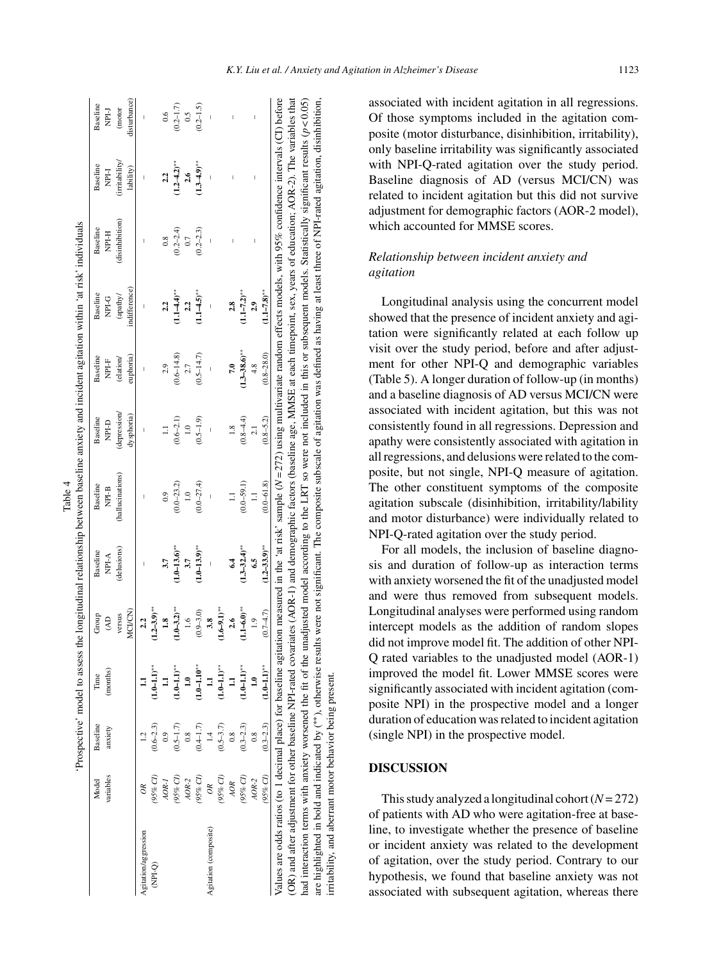|       | TATY OR ANT ASEA |
|-------|------------------|
|       |                  |
| Table | itureen          |

 $\overline{1}$ 

 $\hat{z}$ 

|                       | Model              | Baseline         | Time                        | Group                     | Baseline            | Baseline        | Baseline         | Baseline                  | Baseline                    | Baseline       | Baseline           | Baseline      |
|-----------------------|--------------------|------------------|-----------------------------|---------------------------|---------------------|-----------------|------------------|---------------------------|-----------------------------|----------------|--------------------|---------------|
|                       | variables          | anxiety          | (months)                    | G                         | NPI-A               | NPI-B           | NPI-D            | NPI-F                     | NPI-G                       | <b>H-IdN</b>   | <b>LIAN</b>        | NPI-J         |
|                       |                    |                  |                             | versus                    | (delusions)         | hallucinations) | depression/      | (elation/                 | (apathy/                    | disinhibition) | irritability       | (motor        |
|                       |                    |                  |                             | MCI/CN)                   |                     |                 | dysphoria)       | euphoria)                 | indifference                |                | lability)          | disturbance)  |
| Agitation/aggression  |                    |                  |                             | 2.2                       |                     |                 | I                | I                         |                             |                | I                  | I             |
| $Q$ -IdN)             | $(95% \text{ C1})$ | $(0.6 - 2.3)$    | $(1.0 - 1.1)^{**}$          | $1.2 - 3.9$ <sup>**</sup> |                     |                 |                  |                           |                             |                |                    |               |
|                       | AOR-1              | $\overline{0.9}$ |                             | $\frac{8}{1.8}$           | 3.7                 | 0.9             |                  | 2.9                       | 2.2                         | 0.8            | 2.2                | $\ddot{0.6}$  |
|                       | (95% CI)           | $(0.5 - 1.7)$    | $(1.0 - 1.1)^{**}$          | $1.0 - 3.2$ <sup>*</sup>  | $(1.0 - 13.6)^*$    | $(0.0 - 23.2)$  | $(0.6 - 2.1)$    | $(0.6 - 14.8)$            | $(1.1 - 4.4)^*$             | $(0.2 - 2.4)$  | $(1.2 - 4.2)^{**}$ | $(0.2 - 1.7)$ |
|                       | AOR-2              |                  |                             | 1.6                       | 3.7                 | 1.0             | $\overline{1.0}$ | 2.7                       | 2.2                         | 0.7            | 2.6                | 0.5           |
|                       | (95% CI)           | $(0.4 - 1.7)$    | 1.6                         | $(0.9 - 3.0)$             | $1.0 - 13.9$ )**    | $0.0 - 27.4$    | $(0.5 - 1.9)$    | $(0.5 - 14.7)$            | $1.1 - 4.5$ <sup>*</sup>    | $(0.2 - 2.3)$  | $(1.3 - 4.9)^{14}$ | $(0.2 - 1.5)$ |
| Agitation (composite) | $\overline{OR}$    |                  |                             | 3.8                       |                     |                 | $\mathbf{I}$     |                           |                             |                |                    | $\mathbf{I}$  |
|                       | (95% CI)           | $(0.5 - 3.7)$    | 1.6                         | $1.6 - 9.1$ <sup>9%</sup> |                     |                 |                  |                           |                             |                |                    |               |
|                       | AOR                |                  |                             | 2.6                       | 6.4                 |                 | $\frac{8}{1}$    | 7.0                       | 2.8                         |                |                    |               |
|                       | (95% CI)           | $(0.3 - 2.3)$    | $\frac{1}{2}$               | $1.1 - 6.0$ <sup>**</sup> | $(1.3 - 32.4)^*$    | $(0.0 - 59.1)$  | $(0.8 - 4.4)$    | $1.3 - 38.6$ <sup>*</sup> | $(1.1 - 7.2)^*$             |                |                    |               |
|                       | AOR-2              | $_{\rm 0.8}$     |                             | 1.9                       | 6.5                 | $\Xi$           | 2.1              | 4.8                       | 2.9                         |                |                    |               |
|                       | (95% CI)           | $(0.3 - 2.3)$    | $(1.0 - 1.1)$ <sup>**</sup> | $(0.7 - 4.7)$             | $(1.2 - 33.9)^{**}$ | $(0.0 - 61.8)$  | $(0.8 - 5.2)$    | $(0.8 - 28.0)$            | $(1.1 - 7.8)$ <sup>**</sup> |                |                    |               |

had interaction terms with anxiety worsened the fit of the unadjusted model according to the LRT so were not included in this or subsequent models. Statistically significant results (*p* < 0.05) are highlighted in bold and indicated by (\*\*), otherwise results were not significant. The composite subscale of agitation was defined as having at least three of NPI-rated agitation, disinhibition,

had interaction terms with anxiety worsened the fit of the unadjusted model according to the LRT so were not included in this or subsequent models. Statistically significant results (p<0.05) are highlighted in bold and indicated by (\*\*), otherwise results were not significant. The composite subscale of agitation was defined as having at least three of NPI-rated agitation, disinhibition, associated with incident agitation in all regressions. Of those symptoms included in the agitation composite (motor disturbance, disinhibition, irritability), only baseline irritability was significantly associated with NPI-Q-rated agitation over the study period. Baseline diagnosis of AD (versus MCI/CN) was related to incident agitation but this did not survive adjustment for demographic factors (AOR-2 model), which accounted for MMSE scores.

# *Relationship between incident anxiety and agitation*

Longitudinal analysis using the concurrent model showed that the presence of incident anxiety and agitation were significantly related at each follow up visit over the study period, before and after adjustment for other NPI-Q and demographic variables (Table 5). A longer duration of follow-up (in months) and a baseline diagnosis of AD versus MCI/CN were associated with incident agitation, but this was not consistently found in all regressions. Depression and apathy were consistently associated with agitation in all regressions, and delusions were related to the composite, but not single, NPI-Q measure of agitation. The other constituent symptoms of the composite agitation subscale (disinhibition, irritability/lability and motor disturbance) were individually related to NPI-Q-rated agitation over the study period.

For all models, the inclusion of baseline diagnosis and duration of follow-up as interaction terms with anxiety worsened the fit of the unadjusted model and were thus removed from subsequent models. Longitudinal analyses were performed using random intercept models as the addition of random slopes did not improve model fit. The addition of other NPI-Q rated variables to the unadjusted model (AOR-1) improved the model fit. Lower MMSE scores were significantly associated with incident agitation (composite NPI) in the prospective model and a longer duration of education was related to incident agitation (single NPI) in the prospective model.

# **DISCUSSION**

irritability, and aberrant motor behavior being present.

rritability, and aberrant motor behavior being present.

This study analyzed a longitudinal cohort ( *N*= 272) of patients with AD who were agitation-free at baseline, to investigate whether the presence of baseline or incident anxiety was related to the development of agitation, over the study period. Contrary to our hypothesis, we found that baseline anxiety was not associated with subsequent agitation, whereas there

 $\overline{1}$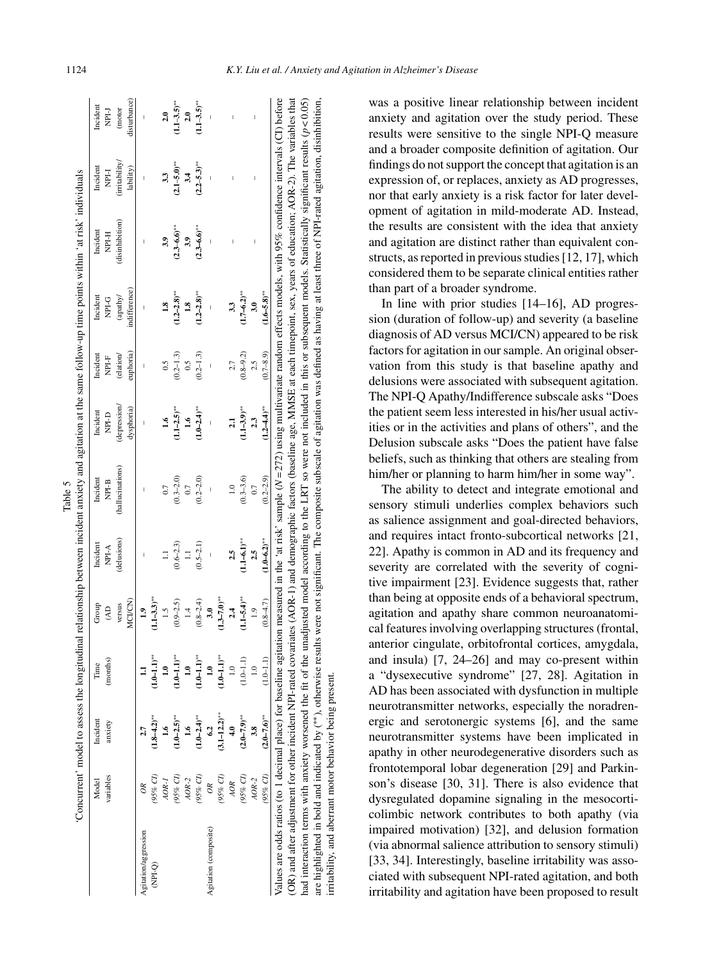|                                                                                                                                                                                                        |               |                             |                             |                            |                           | Concurrent' model to assess the longitudinal relationship between incident anxiety and agitation at the same follow-up time points within 'at risk' individuals<br>Table 5 |                    |               |                             |                                       |                             |                    |
|--------------------------------------------------------------------------------------------------------------------------------------------------------------------------------------------------------|---------------|-----------------------------|-----------------------------|----------------------------|---------------------------|----------------------------------------------------------------------------------------------------------------------------------------------------------------------------|--------------------|---------------|-----------------------------|---------------------------------------|-----------------------------|--------------------|
|                                                                                                                                                                                                        | Model         | Incident                    | Time                        | Group                      | Incident                  | Incident                                                                                                                                                                   | Incident           | Incident      | Incident                    | Incident                              | Incident                    | Incident           |
|                                                                                                                                                                                                        | variables     | anxiety                     | (months)                    | $\overline{A}$             | NPI-A                     | NPI-B                                                                                                                                                                      | NPI-D              | NPI-F         | NPI-G                       | <b>H-IdN</b>                          | NPI-I                       | NPI-J              |
|                                                                                                                                                                                                        |               |                             |                             | versus                     | delusions)                | (hallucinations)                                                                                                                                                           | (depression/       | elation/      | (apathy/                    | (disinhibition)                       | (irritability)              | (motor             |
|                                                                                                                                                                                                        |               |                             |                             | MCI/CN                     |                           |                                                                                                                                                                            | dysphoria)         | euphoria)     | indifference)               |                                       | (ability                    | disturbance)       |
| Agitation/aggression                                                                                                                                                                                   |               |                             |                             | $\ddot{ }$                 |                           |                                                                                                                                                                            |                    | I             | Ï                           | I                                     | I                           | I                  |
| $\widehat{\mathrm{Q}}$ -rg $\lambda$                                                                                                                                                                   | $(95\% \ CI)$ | $(1.8 - 4.2)$ **            | $(1.0 - 1.1)$ <sup>**</sup> | $1.1 - 3.3$ <sup>**</sup>  |                           |                                                                                                                                                                            |                    |               |                             |                                       |                             |                    |
|                                                                                                                                                                                                        | $AOR-I$       | $\frac{1}{2}$               | $\mathbf{r}$                | $\frac{1}{2}$              |                           |                                                                                                                                                                            | $\ddot{ }$         |               | $\frac{8}{10}$              | 3.9                                   | 33                          | 2.0                |
|                                                                                                                                                                                                        | $(95\% \ CI)$ | $(1.0 - 2.5)$ <sup>**</sup> | $(1.0 - 1.1)$ **            | $(0.9 - 2.5)$              | $(0.6 - 2.3)$             | $(0.3 - 2.0)$                                                                                                                                                              | $(1.1 - 2.5)^*$    | $(0.2 - 1.3)$ | $(1.2 - 2.8)^*$             | $(2.3 - 6.6)^{**}$                    | $(2.1 - 5.0)$ <sup>**</sup> | $(1.1 - 3.5)^*$    |
|                                                                                                                                                                                                        | AOR-2         | $\ddot{.}6$                 | $\mathbf{r}$                | $\frac{1}{4}$              | $\equiv$                  | 0.7                                                                                                                                                                        | 1.6                | 0.5           | $\frac{8}{16}$              | 3.9                                   | 3.4                         | 2.0                |
|                                                                                                                                                                                                        | (95% CI)      | $(1.0 - 2.4)$ <sup>**</sup> | $(1.0 - 1.1)$ **            | $(0.8 - 2.4)$              | $(0.5 - 2.1)$             | $(0.2 - 2.0)$                                                                                                                                                              | $(1.0 - 2.4)^{**}$ | $(0.2 - 1.3)$ | $(1.2 - 2.8)^*$             | $(2.3 - 6.6)^*$                       | $(2.2 - 5.3)$ <sup>**</sup> | $(1.1 - 3.5)^{*s}$ |
| Agitation (composite)                                                                                                                                                                                  | $\infty$      | 6.2                         | $\mathbf{r}$                | 3.0                        | l                         | j                                                                                                                                                                          |                    | j             |                             |                                       |                             | j                  |
|                                                                                                                                                                                                        | (95% CI)      | $(3.1 - 12.2)^{**}$         | $(1.0 - 1.1)$ <sup>**</sup> | $1.3 - 7.0$ <sup>**</sup>  |                           |                                                                                                                                                                            |                    |               |                             |                                       |                             |                    |
|                                                                                                                                                                                                        | AOR           | $\ddot{ }$                  | $\overline{1.0}$            | 2.4                        | 2.5                       | $\approx$                                                                                                                                                                  | $\overline{a}$     |               | 33                          |                                       |                             |                    |
|                                                                                                                                                                                                        | (95% CI)      | $(2.0 - 7.9)$ <sup>**</sup> | $(1.0 - 1.1)$               | $1.1 - 5.4$ <sup>3**</sup> | $1.1 - 6.1$ <sup>**</sup> | $(0.3 - 3.6)$                                                                                                                                                              | $(1.1 - 3.9)^{**}$ | $(0.8 - 9.2)$ | $(1.7 - 6.2)^{**}$          |                                       |                             |                    |
|                                                                                                                                                                                                        | $AOR-2$       | 3.8                         | $\overline{a}$              | $\frac{1}{2}$              | 2.5                       | 0.7                                                                                                                                                                        | 2.3                | 2.5           | 3.0                         | $\begin{array}{c} \hline \end{array}$ |                             |                    |
|                                                                                                                                                                                                        | (95% CI)      | $(2.0 - 7.6)$ **            | $(1.0 - 1.1)$               | $(0.8 - 4.7)$              | $1.0 - 6.2$ <sup>**</sup> | $(0.2 - 2.9)$                                                                                                                                                              | $(1.2 - 4.4)$ **   | $(0.7 - 8.9)$ | $(1.6 - 5.8)$ <sup>**</sup> |                                       |                             |                    |
| Values are odds ratios (to 1 decimal place) for baseline agitation measured in the 'at risk' sample $(N=272)$ using multivariate random effects models, with 95% confidence intervals (CI) before      |               |                             |                             |                            |                           |                                                                                                                                                                            |                    |               |                             |                                       |                             |                    |
| OR) and after adjustment for other incident NPI-rated covariates (AOR-1) and demographic factors (baseline age, MMSE at each timepoint, sex, years of education; AOR-2). The variables that            |               |                             |                             |                            |                           |                                                                                                                                                                            |                    |               |                             |                                       |                             |                    |
| had interaction terms with anxiety worsened the fit of the unadjusted model according to the LRT so were not included in this or subsequent models. Statistically significant results ( $p < 0.05$ )   |               |                             |                             |                            |                           |                                                                                                                                                                            |                    |               |                             |                                       |                             |                    |
| are highlighted in bold and indicated by (**), otherwise results were not significant. The composite subscale of agitation was defined as having at least three of NPI-rated agitation, disinhibition, |               |                             |                             |                            |                           |                                                                                                                                                                            |                    |               |                             |                                       |                             |                    |
| irritability, and aberrant motor behavior being present                                                                                                                                                |               |                             |                             |                            |                           |                                                                                                                                                                            |                    |               |                             |                                       |                             |                    |

was a positive linear relationship between incident anxiety and agitation over the study period. These results were sensitive to the single NPI-Q measure and a broader composite definition of agitation. Our findings do not support the concept that agitation is an expression of, or replaces, anxiety as AD progresses, nor that early anxiety is a risk factor for later development of agitation in mild-moderate AD. Instead, the results are consistent with the idea that anxiety and agitation are distinct rather than equivalent constructs, as reported in previous studies [12, 17], which considered them to be separate clinical entities rather than part of a broader syndrome.

In line with prior studies [14–16], AD progression (duration of follow-up) and severity (a baseline diagnosis of AD versus MCI/CN) appeared to be risk factors for agitation in our sample. An original observation from this study is that baseline apathy and delusions were associated with subsequent agitation. The NPI-Q Apathy/Indifference subscale asks "Does the patient seem less interested in his/her usual activities or in the activities and plans of others", and the Delusion subscale asks "Does the patient have false beliefs, such as thinking that others are stealing from him/her or planning to harm him/her in some way".

The ability to detect and integrate emotional and sensory stimuli underlies complex behaviors such as salience assignment and goal-directed behaviors, and requires intact fronto-subcortical networks [21, 22]. Apathy is common in AD and its frequency and severity are correlated with the severity of cognitive impairment [23]. Evidence suggests that, rather than being at opposite ends of a behavioral spectrum, agitation and apathy share common neuroanatomical features involving overlapping structures (frontal, anterior cingulate, orbitofrontal cortices, amygdala, and insula) [7, 24–26] and may co-present within a "dysexecutive syndrome" [27, 28]. Agitation in AD has been associated with dysfunction in multiple neurotransmitter networks, especially the noradrenergic and serotonergic systems [6], and the same neurotransmitter systems have been implicated in apathy in other neurodegenerative disorders such as frontotemporal lobar degeneration [29] and Parkinson's disease [30, 31]. There is also evidence that dysregulated dopamine signaling in the mesocorticolimbic network contributes to both apathy (via impaired motivation) [32], and delusion formation (via abnormal salience attribution to sensory stimuli) [33, 34]. Interestingly, baseline irritability was associated with subsequent NPI-rated agitation, and both irritability and agitation have been proposed to result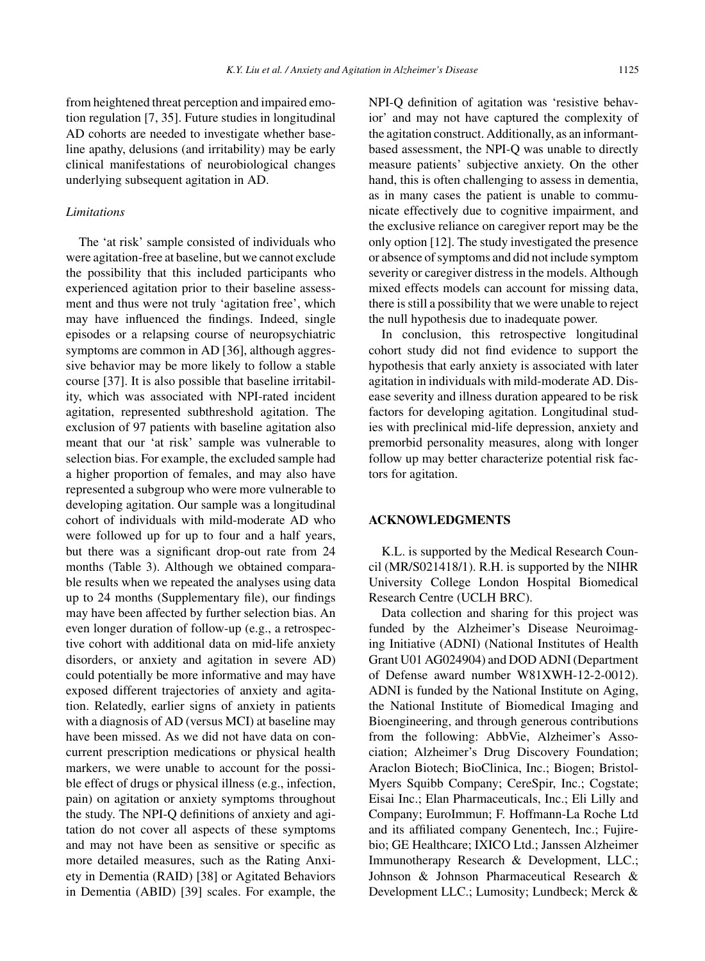from heightened threat perception and impaired emotion regulation [7, 35]. Future studies in longitudinal AD cohorts are needed to investigate whether baseline apathy, delusions (and irritability) may be early clinical manifestations of neurobiological changes underlying subsequent agitation in AD.

## *Limitations*

The 'at risk' sample consisted of individuals who were agitation-free at baseline, but we cannot exclude the possibility that this included participants who experienced agitation prior to their baseline assessment and thus were not truly 'agitation free', which may have influenced the findings. Indeed, single episodes or a relapsing course of neuropsychiatric symptoms are common in AD [36], although aggressive behavior may be more likely to follow a stable course [37]. It is also possible that baseline irritability, which was associated with NPI-rated incident agitation, represented subthreshold agitation. The exclusion of 97 patients with baseline agitation also meant that our 'at risk' sample was vulnerable to selection bias. For example, the excluded sample had a higher proportion of females, and may also have represented a subgroup who were more vulnerable to developing agitation. Our sample was a longitudinal cohort of individuals with mild-moderate AD who were followed up for up to four and a half years, but there was a significant drop-out rate from 24 months (Table 3). Although we obtained comparable results when we repeated the analyses using data up to 24 months (Supplementary file), our findings may have been affected by further selection bias. An even longer duration of follow-up (e.g., a retrospective cohort with additional data on mid-life anxiety disorders, or anxiety and agitation in severe AD) could potentially be more informative and may have exposed different trajectories of anxiety and agitation. Relatedly, earlier signs of anxiety in patients with a diagnosis of AD (versus MCI) at baseline may have been missed. As we did not have data on concurrent prescription medications or physical health markers, we were unable to account for the possible effect of drugs or physical illness (e.g., infection, pain) on agitation or anxiety symptoms throughout the study. The NPI-Q definitions of anxiety and agitation do not cover all aspects of these symptoms and may not have been as sensitive or specific as more detailed measures, such as the Rating Anxiety in Dementia (RAID) [38] or Agitated Behaviors in Dementia (ABID) [39] scales. For example, the NPI-Q definition of agitation was 'resistive behavior' and may not have captured the complexity of the agitation construct. Additionally, as an informantbased assessment, the NPI-Q was unable to directly measure patients' subjective anxiety. On the other hand, this is often challenging to assess in dementia, as in many cases the patient is unable to communicate effectively due to cognitive impairment, and the exclusive reliance on caregiver report may be the only option [12]. The study investigated the presence or absence of symptoms and did not include symptom severity or caregiver distress in the models. Although mixed effects models can account for missing data, there is still a possibility that we were unable to reject the null hypothesis due to inadequate power.

In conclusion, this retrospective longitudinal cohort study did not find evidence to support the hypothesis that early anxiety is associated with later agitation in individuals with mild-moderate AD. Disease severity and illness duration appeared to be risk factors for developing agitation. Longitudinal studies with preclinical mid-life depression, anxiety and premorbid personality measures, along with longer follow up may better characterize potential risk factors for agitation.

## **ACKNOWLEDGMENTS**

K.L. is supported by the Medical Research Council (MR/S021418/1). R.H. is supported by the NIHR University College London Hospital Biomedical Research Centre (UCLH BRC).

Data collection and sharing for this project was funded by the Alzheimer's Disease Neuroimaging Initiative (ADNI) (National Institutes of Health Grant U01 AG024904) and DOD ADNI (Department of Defense award number W81XWH-12-2-0012). ADNI is funded by the National Institute on Aging, the National Institute of Biomedical Imaging and Bioengineering, and through generous contributions from the following: AbbVie, Alzheimer's Association; Alzheimer's Drug Discovery Foundation; Araclon Biotech; BioClinica, Inc.; Biogen; Bristol-Myers Squibb Company; CereSpir, Inc.; Cogstate; Eisai Inc.; Elan Pharmaceuticals, Inc.; Eli Lilly and Company; EuroImmun; F. Hoffmann-La Roche Ltd and its affiliated company Genentech, Inc.; Fujirebio; GE Healthcare; IXICO Ltd.; Janssen Alzheimer Immunotherapy Research & Development, LLC.; Johnson & Johnson Pharmaceutical Research & Development LLC.; Lumosity; Lundbeck; Merck &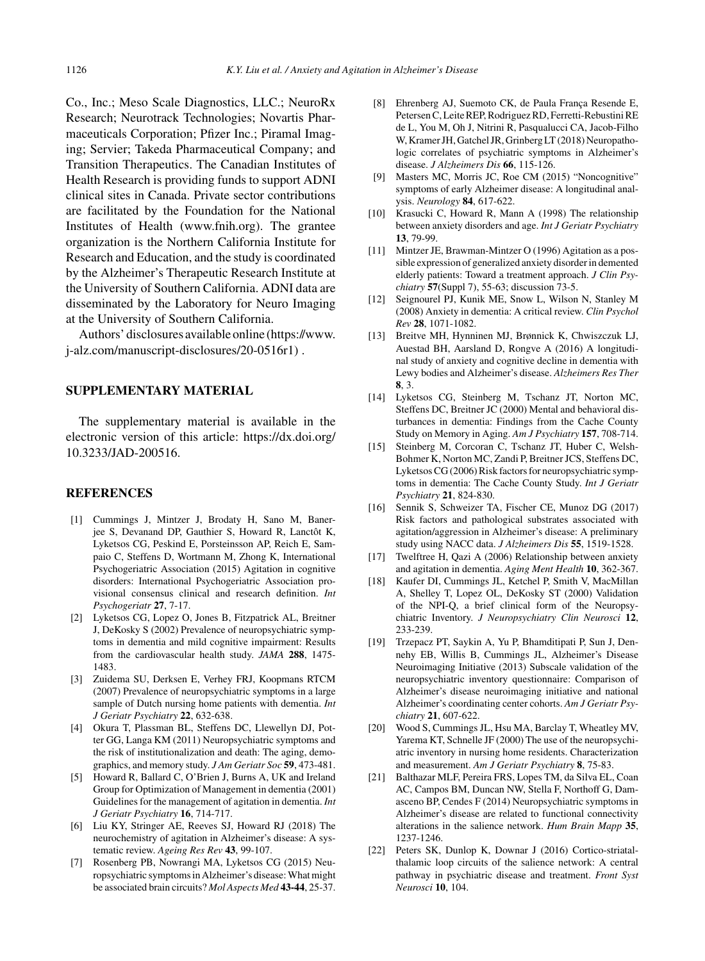Co., Inc.; Meso Scale Diagnostics, LLC.; NeuroRx Research; Neurotrack Technologies; Novartis Pharmaceuticals Corporation; Pfizer Inc.; Piramal Imaging; Servier; Takeda Pharmaceutical Company; and Transition Therapeutics. The Canadian Institutes of Health Research is providing funds to support ADNI clinical sites in Canada. Private sector contributions are facilitated by the Foundation for the National Institutes of Health [\(www.fnih.org\)](www.fnih.org). The grantee organization is the Northern California Institute for Research and Education, and the study is coordinated by the Alzheimer's Therapeutic Research Institute at the University of Southern California. ADNI data are disseminated by the Laboratory for Neuro Imaging at the University of Southern California.

Authors' disclosures available online (https://www. j-alz.com/manuscript-disclosures/20-0516r1) .

#### **SUPPLEMENTARY MATERIAL**

The supplementary material is available in the electronic version of this article: [https://dx.doi.org/](https://dx.doi.org/10.3233/JPD-191698) [10.3233/JAD-200516.](https://dx.doi.org/10.3233/JPD-191698)

## **REFERENCES**

- [1] Cummings J, Mintzer J, Brodaty H, Sano M, Banerjee S, Devanand DP, Gauthier S, Howard R, Lanctôt K, Lyketsos CG, Peskind E, Porsteinsson AP, Reich E, Sampaio C, Steffens D, Wortmann M, Zhong K, International Psychogeriatric Association (2015) Agitation in cognitive disorders: International Psychogeriatric Association provisional consensus clinical and research definition. *Int Psychogeriatr* **27**, 7-17.
- [2] Lyketsos CG, Lopez O, Jones B, Fitzpatrick AL, Breitner J, DeKosky S (2002) Prevalence of neuropsychiatric symptoms in dementia and mild cognitive impairment: Results from the cardiovascular health study. *JAMA* **288**, 1475- 1483.
- [3] Zuidema SU, Derksen E, Verhey FRJ, Koopmans RTCM (2007) Prevalence of neuropsychiatric symptoms in a large sample of Dutch nursing home patients with dementia. *Int J Geriatr Psychiatry* **22**, 632-638.
- [4] Okura T, Plassman BL, Steffens DC, Llewellyn DJ, Potter GG, Langa KM (2011) Neuropsychiatric symptoms and the risk of institutionalization and death: The aging, demographics, and memory study. *J Am Geriatr Soc* **59**, 473-481.
- [5] Howard R, Ballard C, O'Brien J, Burns A, UK and Ireland Group for Optimization of Management in dementia (2001) Guidelines for the management of agitation in dementia. *Int J Geriatr Psychiatry* **16**, 714-717.
- [6] Liu KY, Stringer AE, Reeves SJ, Howard RJ (2018) The neurochemistry of agitation in Alzheimer's disease: A systematic review. *Ageing Res Rev* **43**, 99-107.
- [7] Rosenberg PB, Nowrangi MA, Lyketsos CG (2015) Neuropsychiatric symptoms in Alzheimer's disease: What might be associated brain circuits? *Mol Aspects Med* **43-44**, 25-37.
- [8] Ehrenberg AJ, Suemoto CK, de Paula França Resende E, Petersen C, Leite REP, Rodriguez RD, Ferretti-Rebustini RE de L, You M, Oh J, Nitrini R, Pasqualucci CA, Jacob-Filho W, Kramer JH, Gatchel JR, Grinberg LT (2018) Neuropathologic correlates of psychiatric symptoms in Alzheimer's disease. *J Alzheimers Dis* **66**, 115-126.
- [9] Masters MC, Morris JC, Roe CM (2015) "Noncognitive" symptoms of early Alzheimer disease: A longitudinal analysis. *Neurology* **84**, 617-622.
- [10] Krasucki C, Howard R, Mann A (1998) The relationship between anxiety disorders and age. *Int J Geriatr Psychiatry* **13**, 79-99.
- [11] Mintzer JE, Brawman-Mintzer O (1996) Agitation as a possible expression of generalized anxiety disorder in demented elderly patients: Toward a treatment approach. *J Clin Psychiatry* **57**(Suppl 7), 55-63; discussion 73-5.
- [12] Seignourel PJ, Kunik ME, Snow L, Wilson N, Stanley M (2008) Anxiety in dementia: A critical review. *Clin Psychol Rev* **28**, 1071-1082.
- [\[13\] Breitve MH, Hynninen MJ, Brønnick K](https://www.j-alz.com/manuscript-disclosures/20-0516r1), Chwiszczuk LJ, Auestad BH, Aarsland D, Rongve A (2016) A longitudinal study of anxiety and cognitive decline in dementia with Lewy bodies and Alzheimer's disease. *Alzheimers Res Ther* **8**, 3.
- [14] Lyketsos CG, Steinberg M, Tschanz JT, Norton MC, Steffens DC, Breitner JC (2000) Mental and behavioral disturbances in dementia: Findings from the Cache County Study on Memory in Aging. *Am J Psychiatry* **157**, 708-714.
- [15] Steinberg M, Corcoran C, Tschanz JT, Huber C, Welsh-Bohmer K, Norton MC, Zandi P, Breitner JCS, Steffens DC, Lyketsos CG (2006) Risk factors for neuropsychiatric symptoms in dementia: The Cache County Study. *Int J Geriatr Psychiatry* **21**, 824-830.
- [16] Sennik S, Schweizer TA, Fischer CE, Munoz DG (2017) Risk factors and pathological substrates associated with agitation/aggression in Alzheimer's disease: A preliminary study using NACC data. *J Alzheimers Dis* **55**, 1519-1528.
- [17] Twelftree H, Qazi A (2006) Relationship between anxiety and agitation in dementia. *Aging Ment Health* **10**, 362-367.
- [18] Kaufer DI, Cummings JL, Ketchel P, Smith V, MacMillan A, Shelley T, Lopez OL, DeKosky ST (2000) Validation of the NPI-Q, a brief clinical form of the Neuropsychiatric Inventory. *J Neuropsychiatry Clin Neurosci* **12**, 233-239.
- [19] Trzepacz PT, Saykin A, Yu P, Bhamditipati P, Sun J, Dennehy EB, Willis B, Cummings JL, Alzheimer's Disease Neuroimaging Initiative (2013) Subscale validation of the neuropsychiatric inventory questionnaire: Comparison of Alzheimer's disease neuroimaging initiative and national Alzheimer's coordinating center cohorts. *Am J Geriatr Psychiatry* **21**, 607-622.
- [20] Wood S, Cummings JL, Hsu MA, Barclay T, Wheatley MV, Yarema KT, Schnelle JF (2000) The use of the neuropsychiatric inventory in nursing home residents. Characterization and measurement. *Am J Geriatr Psychiatry* **8**, 75-83.
- [21] Balthazar MLF, Pereira FRS, Lopes TM, da Silva EL, Coan AC, Campos BM, Duncan NW, Stella F, Northoff G, Damasceno BP, Cendes F (2014) Neuropsychiatric symptoms in Alzheimer's disease are related to functional connectivity alterations in the salience network. *Hum Brain Mapp* **35**, 1237-1246.
- [22] Peters SK, Dunlop K, Downar J (2016) Cortico-striatalthalamic loop circuits of the salience network: A central pathway in psychiatric disease and treatment. *Front Syst Neurosci* **10**, 104.